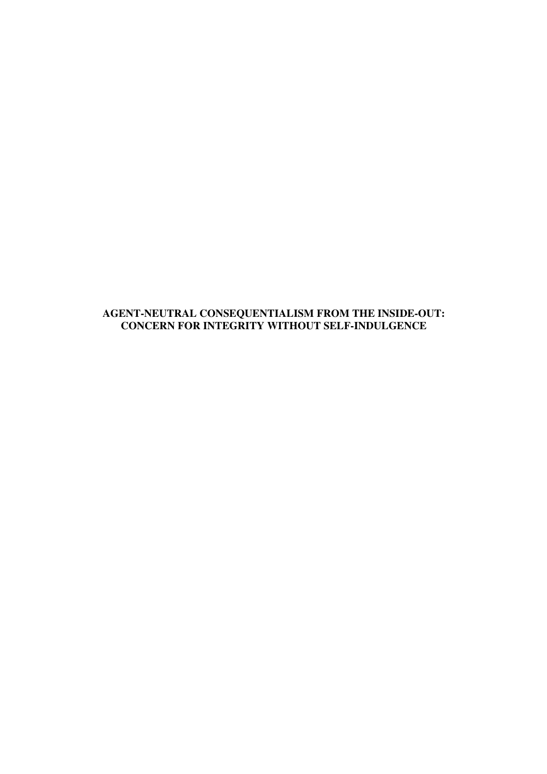# **AGENT-NEUTRAL CONSEQUENTIALISM FROM THE INSIDE-OUT: CONCERN FOR INTEGRITY WITHOUT SELF-INDULGENCE**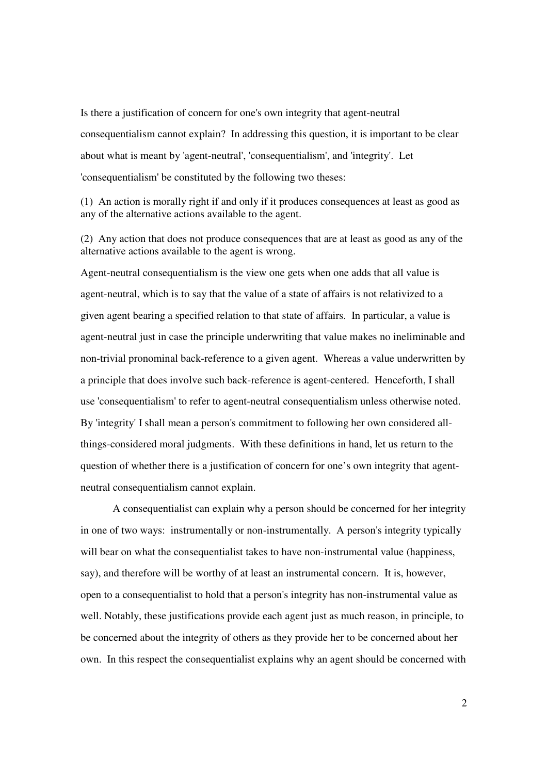Is there a justification of concern for one's own integrity that agent-neutral consequentialism cannot explain? In addressing this question, it is important to be clear about what is meant by 'agent-neutral', 'consequentialism', and 'integrity'. Let 'consequentialism' be constituted by the following two theses:

(1) An action is morally right if and only if it produces consequences at least as good as any of the alternative actions available to the agent.

(2) Any action that does not produce consequences that are at least as good as any of the alternative actions available to the agent is wrong.

Agent-neutral consequentialism is the view one gets when one adds that all value is agent-neutral, which is to say that the value of a state of affairs is not relativized to a given agent bearing a specified relation to that state of affairs. In particular, a value is agent-neutral just in case the principle underwriting that value makes no ineliminable and non-trivial pronominal back-reference to a given agent. Whereas a value underwritten by a principle that does involve such back-reference is agent-centered. Henceforth, I shall use 'consequentialism' to refer to agent-neutral consequentialism unless otherwise noted. By 'integrity' I shall mean a person's commitment to following her own considered allthings-considered moral judgments. With these definitions in hand, let us return to the question of whether there is a justification of concern for one's own integrity that agentneutral consequentialism cannot explain.

A consequentialist can explain why a person should be concerned for her integrity in one of two ways: instrumentally or non-instrumentally. A person's integrity typically will bear on what the consequentialist takes to have non-instrumental value (happiness, say), and therefore will be worthy of at least an instrumental concern. It is, however, open to a consequentialist to hold that a person's integrity has non-instrumental value as well. Notably, these justifications provide each agent just as much reason, in principle, to be concerned about the integrity of others as they provide her to be concerned about her own. In this respect the consequentialist explains why an agent should be concerned with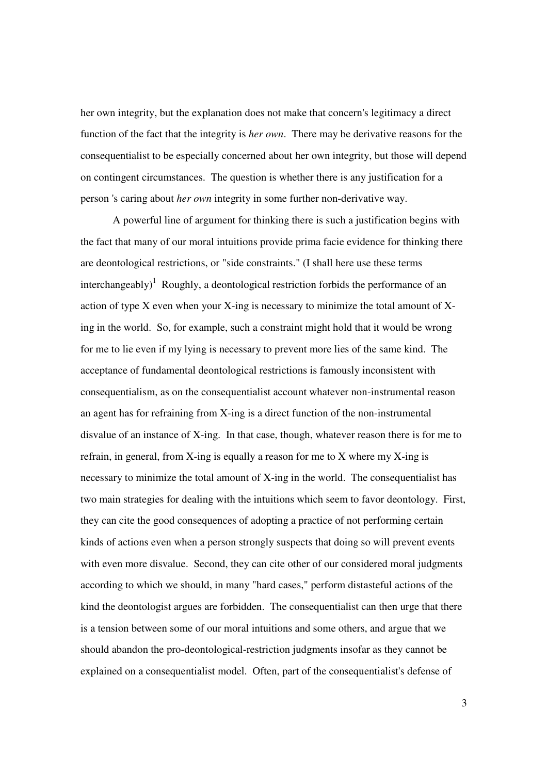her own integrity, but the explanation does not make that concern's legitimacy a direct function of the fact that the integrity is *her own*. There may be derivative reasons for the consequentialist to be especially concerned about her own integrity, but those will depend on contingent circumstances. The question is whether there is any justification for a person 's caring about *her own* integrity in some further non-derivative way.

A powerful line of argument for thinking there is such a justification begins with the fact that many of our moral intuitions provide prima facie evidence for thinking there are deontological restrictions, or "side constraints." (I shall here use these terms interchangeably)<sup>1</sup> Roughly, a deontological restriction forbids the performance of an action of type X even when your X-ing is necessary to minimize the total amount of Xing in the world. So, for example, such a constraint might hold that it would be wrong for me to lie even if my lying is necessary to prevent more lies of the same kind. The acceptance of fundamental deontological restrictions is famously inconsistent with consequentialism, as on the consequentialist account whatever non-instrumental reason an agent has for refraining from X-ing is a direct function of the non-instrumental disvalue of an instance of X-ing. In that case, though, whatever reason there is for me to refrain, in general, from X-ing is equally a reason for me to X where my X-ing is necessary to minimize the total amount of X-ing in the world. The consequentialist has two main strategies for dealing with the intuitions which seem to favor deontology. First, they can cite the good consequences of adopting a practice of not performing certain kinds of actions even when a person strongly suspects that doing so will prevent events with even more disvalue. Second, they can cite other of our considered moral judgments according to which we should, in many "hard cases," perform distasteful actions of the kind the deontologist argues are forbidden. The consequentialist can then urge that there is a tension between some of our moral intuitions and some others, and argue that we should abandon the pro-deontological-restriction judgments insofar as they cannot be explained on a consequentialist model. Often, part of the consequentialist's defense of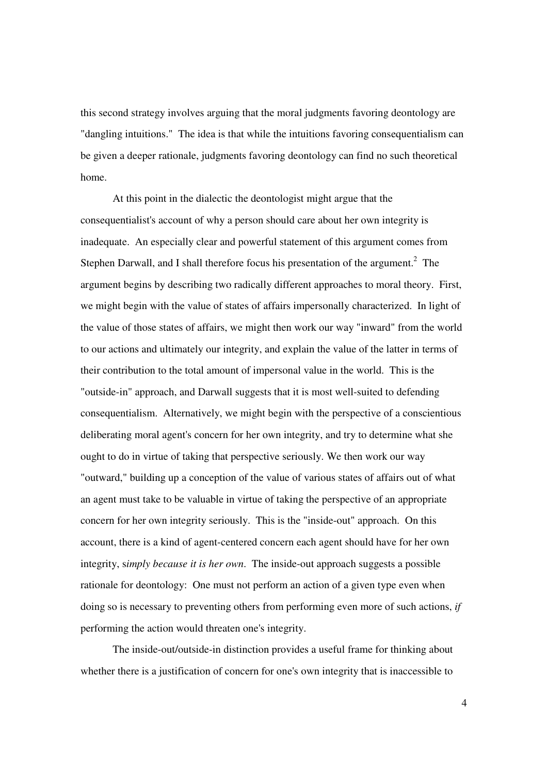this second strategy involves arguing that the moral judgments favoring deontology are "dangling intuitions." The idea is that while the intuitions favoring consequentialism can be given a deeper rationale, judgments favoring deontology can find no such theoretical home.

At this point in the dialectic the deontologist might argue that the consequentialist's account of why a person should care about her own integrity is inadequate. An especially clear and powerful statement of this argument comes from Stephen Darwall, and I shall therefore focus his presentation of the argument.<sup>2</sup> The argument begins by describing two radically different approaches to moral theory. First, we might begin with the value of states of affairs impersonally characterized. In light of the value of those states of affairs, we might then work our way "inward" from the world to our actions and ultimately our integrity, and explain the value of the latter in terms of their contribution to the total amount of impersonal value in the world. This is the "outside-in" approach, and Darwall suggests that it is most well-suited to defending consequentialism. Alternatively, we might begin with the perspective of a conscientious deliberating moral agent's concern for her own integrity, and try to determine what she ought to do in virtue of taking that perspective seriously. We then work our way "outward," building up a conception of the value of various states of affairs out of what an agent must take to be valuable in virtue of taking the perspective of an appropriate concern for her own integrity seriously. This is the "inside-out" approach. On this account, there is a kind of agent-centered concern each agent should have for her own integrity, s*imply because it is her own*. The inside-out approach suggests a possible rationale for deontology: One must not perform an action of a given type even when doing so is necessary to preventing others from performing even more of such actions, *if* performing the action would threaten one's integrity.

The inside-out/outside-in distinction provides a useful frame for thinking about whether there is a justification of concern for one's own integrity that is inaccessible to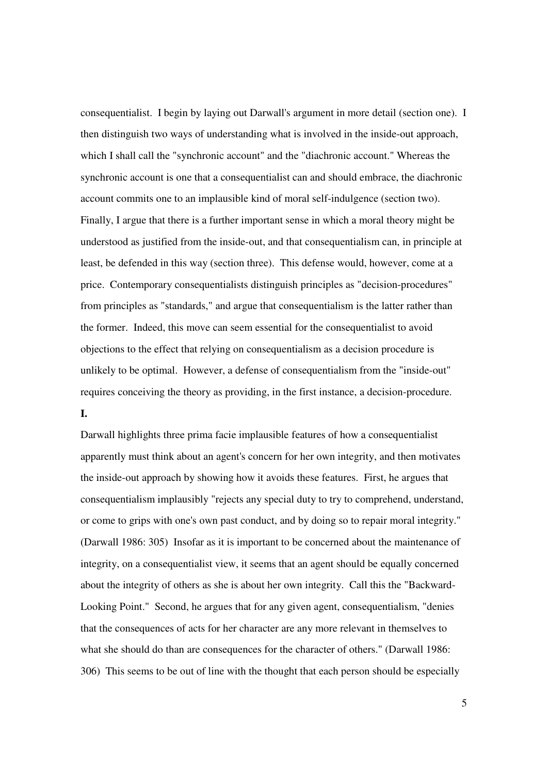consequentialist. I begin by laying out Darwall's argument in more detail (section one). I then distinguish two ways of understanding what is involved in the inside-out approach, which I shall call the "synchronic account" and the "diachronic account." Whereas the synchronic account is one that a consequentialist can and should embrace, the diachronic account commits one to an implausible kind of moral self-indulgence (section two). Finally, I argue that there is a further important sense in which a moral theory might be understood as justified from the inside-out, and that consequentialism can, in principle at least, be defended in this way (section three). This defense would, however, come at a price. Contemporary consequentialists distinguish principles as "decision-procedures" from principles as "standards," and argue that consequentialism is the latter rather than the former. Indeed, this move can seem essential for the consequentialist to avoid objections to the effect that relying on consequentialism as a decision procedure is unlikely to be optimal. However, a defense of consequentialism from the "inside-out" requires conceiving the theory as providing, in the first instance, a decision-procedure. **I.**

Darwall highlights three prima facie implausible features of how a consequentialist apparently must think about an agent's concern for her own integrity, and then motivates the inside-out approach by showing how it avoids these features. First, he argues that consequentialism implausibly "rejects any special duty to try to comprehend, understand, or come to grips with one's own past conduct, and by doing so to repair moral integrity." (Darwall 1986: 305) Insofar as it is important to be concerned about the maintenance of integrity, on a consequentialist view, it seems that an agent should be equally concerned about the integrity of others as she is about her own integrity. Call this the "Backward-Looking Point." Second, he argues that for any given agent, consequentialism, "denies that the consequences of acts for her character are any more relevant in themselves to what she should do than are consequences for the character of others." (Darwall 1986: 306) This seems to be out of line with the thought that each person should be especially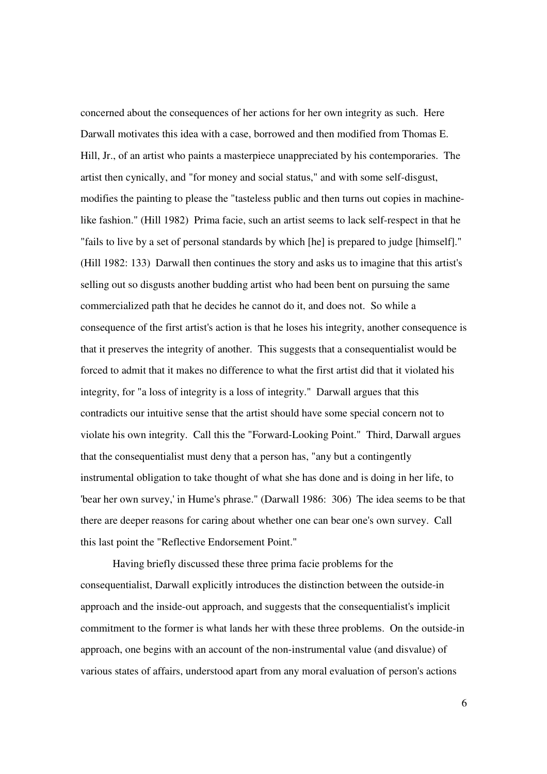concerned about the consequences of her actions for her own integrity as such. Here Darwall motivates this idea with a case, borrowed and then modified from Thomas E. Hill, Jr., of an artist who paints a masterpiece unappreciated by his contemporaries. The artist then cynically, and "for money and social status," and with some self-disgust, modifies the painting to please the "tasteless public and then turns out copies in machinelike fashion." (Hill 1982) Prima facie, such an artist seems to lack self-respect in that he "fails to live by a set of personal standards by which [he] is prepared to judge [himself]." (Hill 1982: 133) Darwall then continues the story and asks us to imagine that this artist's selling out so disgusts another budding artist who had been bent on pursuing the same commercialized path that he decides he cannot do it, and does not. So while a consequence of the first artist's action is that he loses his integrity, another consequence is that it preserves the integrity of another. This suggests that a consequentialist would be forced to admit that it makes no difference to what the first artist did that it violated his integrity, for "a loss of integrity is a loss of integrity." Darwall argues that this contradicts our intuitive sense that the artist should have some special concern not to violate his own integrity. Call this the "Forward-Looking Point." Third, Darwall argues that the consequentialist must deny that a person has, "any but a contingently instrumental obligation to take thought of what she has done and is doing in her life, to 'bear her own survey,' in Hume's phrase." (Darwall 1986: 306) The idea seems to be that there are deeper reasons for caring about whether one can bear one's own survey. Call this last point the "Reflective Endorsement Point."

Having briefly discussed these three prima facie problems for the consequentialist, Darwall explicitly introduces the distinction between the outside-in approach and the inside-out approach, and suggests that the consequentialist's implicit commitment to the former is what lands her with these three problems. On the outside-in approach, one begins with an account of the non-instrumental value (and disvalue) of various states of affairs, understood apart from any moral evaluation of person's actions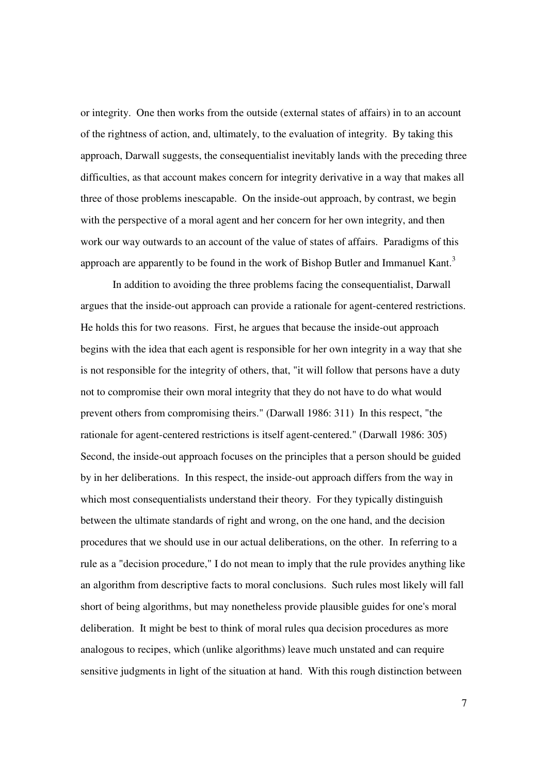or integrity. One then works from the outside (external states of affairs) in to an account of the rightness of action, and, ultimately, to the evaluation of integrity. By taking this approach, Darwall suggests, the consequentialist inevitably lands with the preceding three difficulties, as that account makes concern for integrity derivative in a way that makes all three of those problems inescapable. On the inside-out approach, by contrast, we begin with the perspective of a moral agent and her concern for her own integrity, and then work our way outwards to an account of the value of states of affairs. Paradigms of this approach are apparently to be found in the work of Bishop Butler and Immanuel Kant.<sup>3</sup>

In addition to avoiding the three problems facing the consequentialist, Darwall argues that the inside-out approach can provide a rationale for agent-centered restrictions. He holds this for two reasons. First, he argues that because the inside-out approach begins with the idea that each agent is responsible for her own integrity in a way that she is not responsible for the integrity of others, that, "it will follow that persons have a duty not to compromise their own moral integrity that they do not have to do what would prevent others from compromising theirs." (Darwall 1986: 311) In this respect, "the rationale for agent-centered restrictions is itself agent-centered." (Darwall 1986: 305) Second, the inside-out approach focuses on the principles that a person should be guided by in her deliberations. In this respect, the inside-out approach differs from the way in which most consequentialists understand their theory. For they typically distinguish between the ultimate standards of right and wrong, on the one hand, and the decision procedures that we should use in our actual deliberations, on the other. In referring to a rule as a "decision procedure," I do not mean to imply that the rule provides anything like an algorithm from descriptive facts to moral conclusions. Such rules most likely will fall short of being algorithms, but may nonetheless provide plausible guides for one's moral deliberation. It might be best to think of moral rules qua decision procedures as more analogous to recipes, which (unlike algorithms) leave much unstated and can require sensitive judgments in light of the situation at hand. With this rough distinction between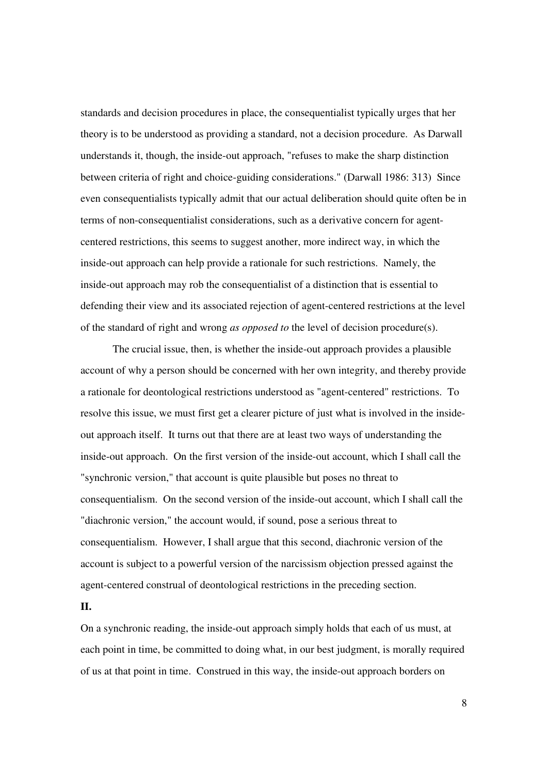standards and decision procedures in place, the consequentialist typically urges that her theory is to be understood as providing a standard, not a decision procedure. As Darwall understands it, though, the inside-out approach, "refuses to make the sharp distinction between criteria of right and choice-guiding considerations." (Darwall 1986: 313) Since even consequentialists typically admit that our actual deliberation should quite often be in terms of non-consequentialist considerations, such as a derivative concern for agentcentered restrictions, this seems to suggest another, more indirect way, in which the inside-out approach can help provide a rationale for such restrictions. Namely, the inside-out approach may rob the consequentialist of a distinction that is essential to defending their view and its associated rejection of agent-centered restrictions at the level of the standard of right and wrong *as opposed to* the level of decision procedure(s).

The crucial issue, then, is whether the inside-out approach provides a plausible account of why a person should be concerned with her own integrity, and thereby provide a rationale for deontological restrictions understood as "agent-centered" restrictions. To resolve this issue, we must first get a clearer picture of just what is involved in the insideout approach itself. It turns out that there are at least two ways of understanding the inside-out approach. On the first version of the inside-out account, which I shall call the "synchronic version," that account is quite plausible but poses no threat to consequentialism. On the second version of the inside-out account, which I shall call the "diachronic version," the account would, if sound, pose a serious threat to consequentialism. However, I shall argue that this second, diachronic version of the account is subject to a powerful version of the narcissism objection pressed against the agent-centered construal of deontological restrictions in the preceding section.

#### **II.**

On a synchronic reading, the inside-out approach simply holds that each of us must, at each point in time, be committed to doing what, in our best judgment, is morally required of us at that point in time. Construed in this way, the inside-out approach borders on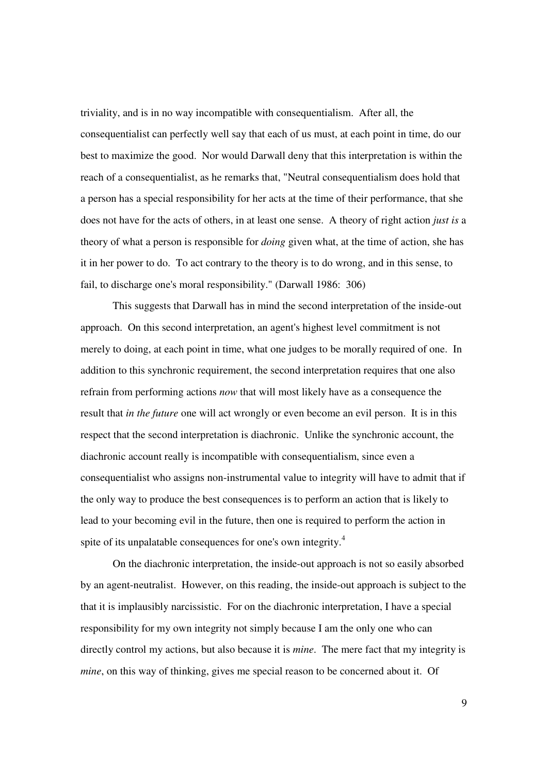triviality, and is in no way incompatible with consequentialism. After all, the consequentialist can perfectly well say that each of us must, at each point in time, do our best to maximize the good. Nor would Darwall deny that this interpretation is within the reach of a consequentialist, as he remarks that, "Neutral consequentialism does hold that a person has a special responsibility for her acts at the time of their performance, that she does not have for the acts of others, in at least one sense. A theory of right action *just is* a theory of what a person is responsible for *doing* given what, at the time of action, she has it in her power to do. To act contrary to the theory is to do wrong, and in this sense, to fail, to discharge one's moral responsibility." (Darwall 1986: 306)

This suggests that Darwall has in mind the second interpretation of the inside-out approach. On this second interpretation, an agent's highest level commitment is not merely to doing, at each point in time, what one judges to be morally required of one. In addition to this synchronic requirement, the second interpretation requires that one also refrain from performing actions *now* that will most likely have as a consequence the result that *in the future* one will act wrongly or even become an evil person. It is in this respect that the second interpretation is diachronic. Unlike the synchronic account, the diachronic account really is incompatible with consequentialism, since even a consequentialist who assigns non-instrumental value to integrity will have to admit that if the only way to produce the best consequences is to perform an action that is likely to lead to your becoming evil in the future, then one is required to perform the action in spite of its unpalatable consequences for one's own integrity.<sup>4</sup>

On the diachronic interpretation, the inside-out approach is not so easily absorbed by an agent-neutralist. However, on this reading, the inside-out approach is subject to the that it is implausibly narcissistic. For on the diachronic interpretation, I have a special responsibility for my own integrity not simply because I am the only one who can directly control my actions, but also because it is *mine*. The mere fact that my integrity is *mine*, on this way of thinking, gives me special reason to be concerned about it. Of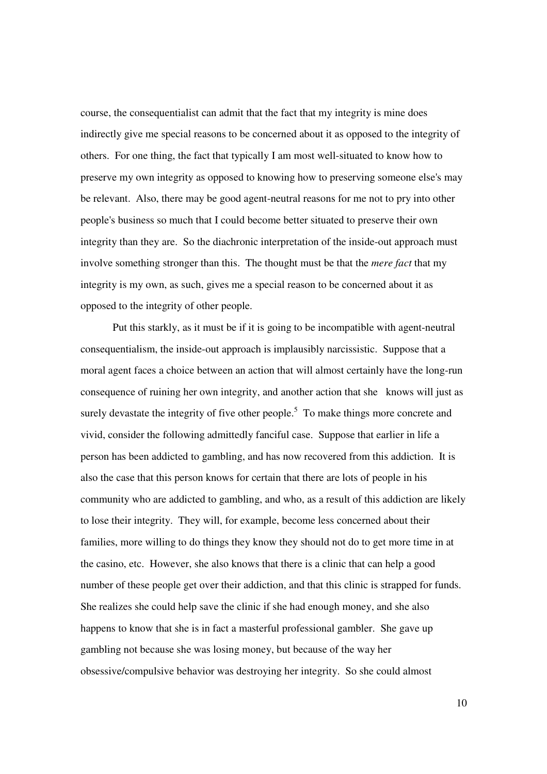course, the consequentialist can admit that the fact that my integrity is mine does indirectly give me special reasons to be concerned about it as opposed to the integrity of others. For one thing, the fact that typically I am most well-situated to know how to preserve my own integrity as opposed to knowing how to preserving someone else's may be relevant. Also, there may be good agent-neutral reasons for me not to pry into other people's business so much that I could become better situated to preserve their own integrity than they are. So the diachronic interpretation of the inside-out approach must involve something stronger than this. The thought must be that the *mere fact* that my integrity is my own, as such, gives me a special reason to be concerned about it as opposed to the integrity of other people.

Put this starkly, as it must be if it is going to be incompatible with agent-neutral consequentialism, the inside-out approach is implausibly narcissistic. Suppose that a moral agent faces a choice between an action that will almost certainly have the long-run consequence of ruining her own integrity, and another action that she knows will just as surely devastate the integrity of five other people.<sup>5</sup> To make things more concrete and vivid, consider the following admittedly fanciful case. Suppose that earlier in life a person has been addicted to gambling, and has now recovered from this addiction. It is also the case that this person knows for certain that there are lots of people in his community who are addicted to gambling, and who, as a result of this addiction are likely to lose their integrity. They will, for example, become less concerned about their families, more willing to do things they know they should not do to get more time in at the casino, etc. However, she also knows that there is a clinic that can help a good number of these people get over their addiction, and that this clinic is strapped for funds. She realizes she could help save the clinic if she had enough money, and she also happens to know that she is in fact a masterful professional gambler. She gave up gambling not because she was losing money, but because of the way her obsessive/compulsive behavior was destroying her integrity. So she could almost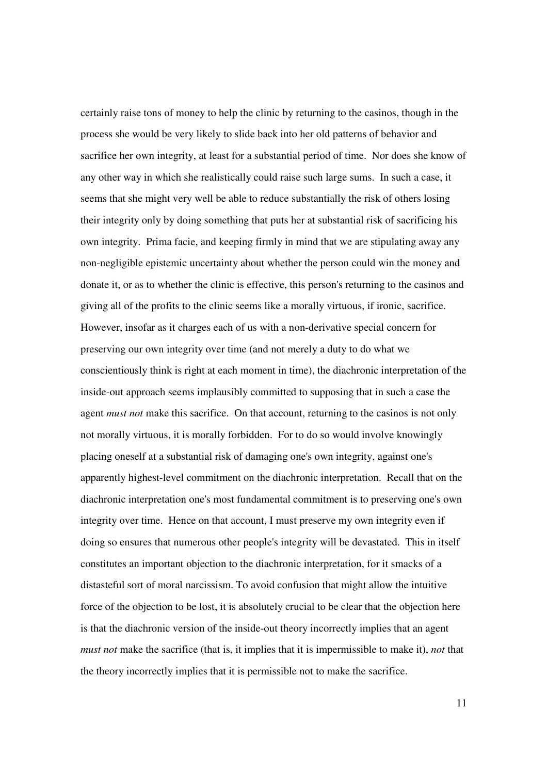certainly raise tons of money to help the clinic by returning to the casinos, though in the process she would be very likely to slide back into her old patterns of behavior and sacrifice her own integrity, at least for a substantial period of time. Nor does she know of any other way in which she realistically could raise such large sums. In such a case, it seems that she might very well be able to reduce substantially the risk of others losing their integrity only by doing something that puts her at substantial risk of sacrificing his own integrity. Prima facie, and keeping firmly in mind that we are stipulating away any non-negligible epistemic uncertainty about whether the person could win the money and donate it, or as to whether the clinic is effective, this person's returning to the casinos and giving all of the profits to the clinic seems like a morally virtuous, if ironic, sacrifice. However, insofar as it charges each of us with a non-derivative special concern for preserving our own integrity over time (and not merely a duty to do what we conscientiously think is right at each moment in time), the diachronic interpretation of the inside-out approach seems implausibly committed to supposing that in such a case the agent *must not* make this sacrifice. On that account, returning to the casinos is not only not morally virtuous, it is morally forbidden. For to do so would involve knowingly placing oneself at a substantial risk of damaging one's own integrity, against one's apparently highest-level commitment on the diachronic interpretation. Recall that on the diachronic interpretation one's most fundamental commitment is to preserving one's own integrity over time. Hence on that account, I must preserve my own integrity even if doing so ensures that numerous other people's integrity will be devastated. This in itself constitutes an important objection to the diachronic interpretation, for it smacks of a distasteful sort of moral narcissism. To avoid confusion that might allow the intuitive force of the objection to be lost, it is absolutely crucial to be clear that the objection here is that the diachronic version of the inside-out theory incorrectly implies that an agent *must not* make the sacrifice (that is, it implies that it is impermissible to make it), *not* that the theory incorrectly implies that it is permissible not to make the sacrifice.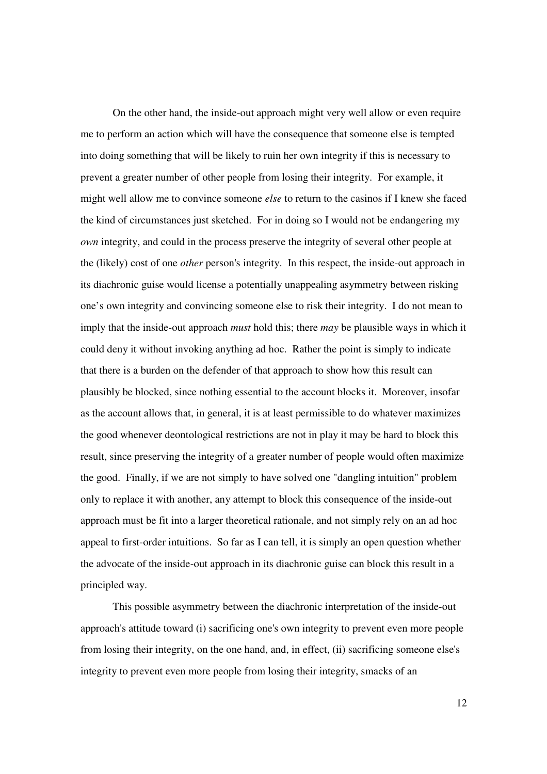On the other hand, the inside-out approach might very well allow or even require me to perform an action which will have the consequence that someone else is tempted into doing something that will be likely to ruin her own integrity if this is necessary to prevent a greater number of other people from losing their integrity. For example, it might well allow me to convince someone *else* to return to the casinos if I knew she faced the kind of circumstances just sketched. For in doing so I would not be endangering my *own* integrity, and could in the process preserve the integrity of several other people at the (likely) cost of one *other* person's integrity. In this respect, the inside-out approach in its diachronic guise would license a potentially unappealing asymmetry between risking one's own integrity and convincing someone else to risk their integrity. I do not mean to imply that the inside-out approach *must* hold this; there *may* be plausible ways in which it could deny it without invoking anything ad hoc. Rather the point is simply to indicate that there is a burden on the defender of that approach to show how this result can plausibly be blocked, since nothing essential to the account blocks it. Moreover, insofar as the account allows that, in general, it is at least permissible to do whatever maximizes the good whenever deontological restrictions are not in play it may be hard to block this result, since preserving the integrity of a greater number of people would often maximize the good. Finally, if we are not simply to have solved one "dangling intuition" problem only to replace it with another, any attempt to block this consequence of the inside-out approach must be fit into a larger theoretical rationale, and not simply rely on an ad hoc appeal to first-order intuitions. So far as I can tell, it is simply an open question whether the advocate of the inside-out approach in its diachronic guise can block this result in a principled way.

This possible asymmetry between the diachronic interpretation of the inside-out approach's attitude toward (i) sacrificing one's own integrity to prevent even more people from losing their integrity, on the one hand, and, in effect, (ii) sacrificing someone else's integrity to prevent even more people from losing their integrity, smacks of an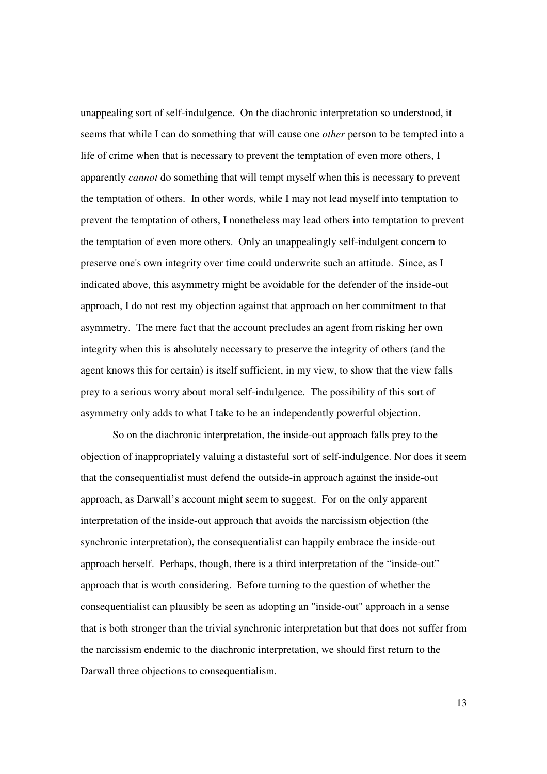unappealing sort of self-indulgence. On the diachronic interpretation so understood, it seems that while I can do something that will cause one *other* person to be tempted into a life of crime when that is necessary to prevent the temptation of even more others, I apparently *cannot* do something that will tempt myself when this is necessary to prevent the temptation of others. In other words, while I may not lead myself into temptation to prevent the temptation of others, I nonetheless may lead others into temptation to prevent the temptation of even more others. Only an unappealingly self-indulgent concern to preserve one's own integrity over time could underwrite such an attitude. Since, as I indicated above, this asymmetry might be avoidable for the defender of the inside-out approach, I do not rest my objection against that approach on her commitment to that asymmetry. The mere fact that the account precludes an agent from risking her own integrity when this is absolutely necessary to preserve the integrity of others (and the agent knows this for certain) is itself sufficient, in my view, to show that the view falls prey to a serious worry about moral self-indulgence. The possibility of this sort of asymmetry only adds to what I take to be an independently powerful objection.

So on the diachronic interpretation, the inside-out approach falls prey to the objection of inappropriately valuing a distasteful sort of self-indulgence. Nor does it seem that the consequentialist must defend the outside-in approach against the inside-out approach, as Darwall's account might seem to suggest. For on the only apparent interpretation of the inside-out approach that avoids the narcissism objection (the synchronic interpretation), the consequentialist can happily embrace the inside-out approach herself. Perhaps, though, there is a third interpretation of the "inside-out" approach that is worth considering. Before turning to the question of whether the consequentialist can plausibly be seen as adopting an "inside-out" approach in a sense that is both stronger than the trivial synchronic interpretation but that does not suffer from the narcissism endemic to the diachronic interpretation, we should first return to the Darwall three objections to consequentialism.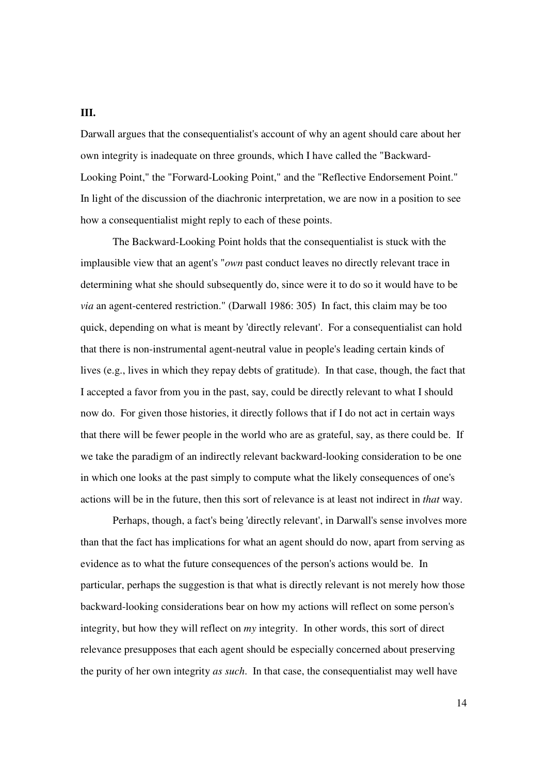## **III.**

Darwall argues that the consequentialist's account of why an agent should care about her own integrity is inadequate on three grounds, which I have called the "Backward-Looking Point," the "Forward-Looking Point," and the "Reflective Endorsement Point." In light of the discussion of the diachronic interpretation, we are now in a position to see how a consequentialist might reply to each of these points.

The Backward-Looking Point holds that the consequentialist is stuck with the implausible view that an agent's "*own* past conduct leaves no directly relevant trace in determining what she should subsequently do, since were it to do so it would have to be *via* an agent-centered restriction." (Darwall 1986: 305) In fact, this claim may be too quick, depending on what is meant by 'directly relevant'. For a consequentialist can hold that there is non-instrumental agent-neutral value in people's leading certain kinds of lives (e.g., lives in which they repay debts of gratitude). In that case, though, the fact that I accepted a favor from you in the past, say, could be directly relevant to what I should now do. For given those histories, it directly follows that if I do not act in certain ways that there will be fewer people in the world who are as grateful, say, as there could be. If we take the paradigm of an indirectly relevant backward-looking consideration to be one in which one looks at the past simply to compute what the likely consequences of one's actions will be in the future, then this sort of relevance is at least not indirect in *that* way.

Perhaps, though, a fact's being 'directly relevant', in Darwall's sense involves more than that the fact has implications for what an agent should do now, apart from serving as evidence as to what the future consequences of the person's actions would be. In particular, perhaps the suggestion is that what is directly relevant is not merely how those backward-looking considerations bear on how my actions will reflect on some person's integrity, but how they will reflect on *my* integrity. In other words, this sort of direct relevance presupposes that each agent should be especially concerned about preserving the purity of her own integrity *as such*. In that case, the consequentialist may well have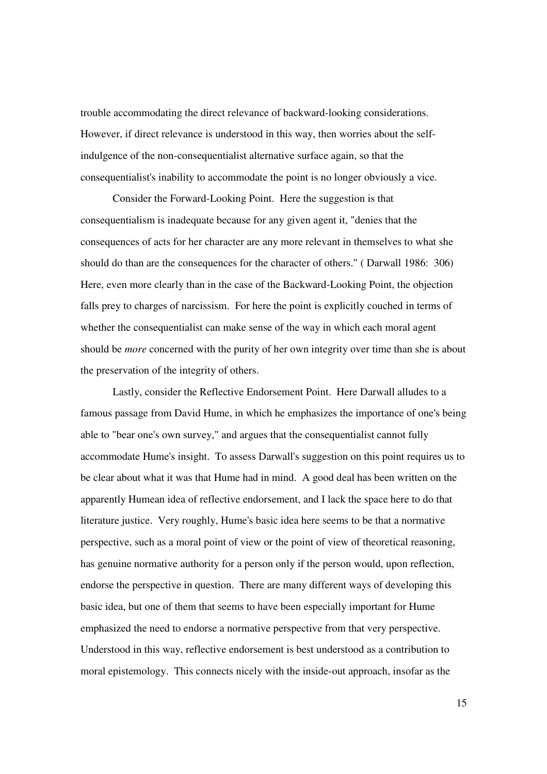trouble accommodating the direct relevance of backward-looking considerations. However, if direct relevance is understood in this way, then worries about the selfindulgence of the non-consequentialist alternative surface again, so that the consequentialist's inability to accommodate the point is no longer obviously a vice.

Consider the Forward-Looking Point. Here the suggestion is that consequentialism is inadequate because for any given agent it, "denies that the consequences of acts for her character are any more relevant in themselves to what she should do than are the consequences for the character of others." ( Darwall 1986: 306) Here, even more clearly than in the case of the Backward-Looking Point, the objection falls prey to charges of narcissism. For here the point is explicitly couched in terms of whether the consequentialist can make sense of the way in which each moral agent should be *more* concerned with the purity of her own integrity over time than she is about the preservation of the integrity of others.

Lastly, consider the Reflective Endorsement Point. Here Darwall alludes to a famous passage from David Hume, in which he emphasizes the importance of one's being able to "bear one's own survey," and argues that the consequentialist cannot fully accommodate Hume's insight. To assess Darwall's suggestion on this point requires us to be clear about what it was that Hume had in mind. A good deal has been written on the apparently Humean idea of reflective endorsement, and I lack the space here to do that literature justice. Very roughly, Hume's basic idea here seems to be that a normative perspective, such as a moral point of view or the point of view of theoretical reasoning, has genuine normative authority for a person only if the person would, upon reflection, endorse the perspective in question. There are many different ways of developing this basic idea, but one of them that seems to have been especially important for Hume emphasized the need to endorse a normative perspective from that very perspective. Understood in this way, reflective endorsement is best understood as a contribution to moral epistemology. This connects nicely with the inside-out approach, insofar as the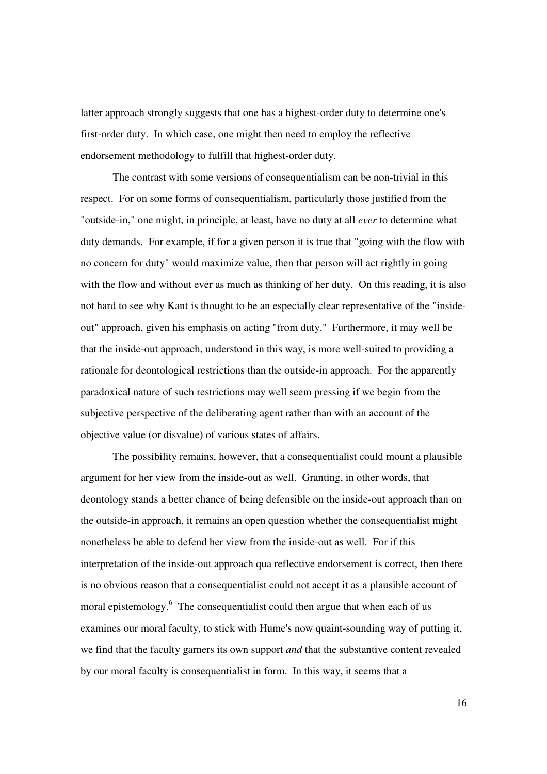latter approach strongly suggests that one has a highest-order duty to determine one's first-order duty. In which case, one might then need to employ the reflective endorsement methodology to fulfill that highest-order duty.

The contrast with some versions of consequentialism can be non-trivial in this respect. For on some forms of consequentialism, particularly those justified from the "outside-in," one might, in principle, at least, have no duty at all *ever* to determine what duty demands. For example, if for a given person it is true that "going with the flow with no concern for duty" would maximize value, then that person will act rightly in going with the flow and without ever as much as thinking of her duty. On this reading, it is also not hard to see why Kant is thought to be an especially clear representative of the "insideout" approach, given his emphasis on acting "from duty." Furthermore, it may well be that the inside-out approach, understood in this way, is more well-suited to providing a rationale for deontological restrictions than the outside-in approach. For the apparently paradoxical nature of such restrictions may well seem pressing if we begin from the subjective perspective of the deliberating agent rather than with an account of the objective value (or disvalue) of various states of affairs.

The possibility remains, however, that a consequentialist could mount a plausible argument for her view from the inside-out as well. Granting, in other words, that deontology stands a better chance of being defensible on the inside-out approach than on the outside-in approach, it remains an open question whether the consequentialist might nonetheless be able to defend her view from the inside-out as well. For if this interpretation of the inside-out approach qua reflective endorsement is correct, then there is no obvious reason that a consequentialist could not accept it as a plausible account of moral epistemology.<sup>6</sup> The consequentialist could then argue that when each of us examines our moral faculty, to stick with Hume's now quaint-sounding way of putting it, we find that the faculty garners its own support *and* that the substantive content revealed by our moral faculty is consequentialist in form. In this way, it seems that a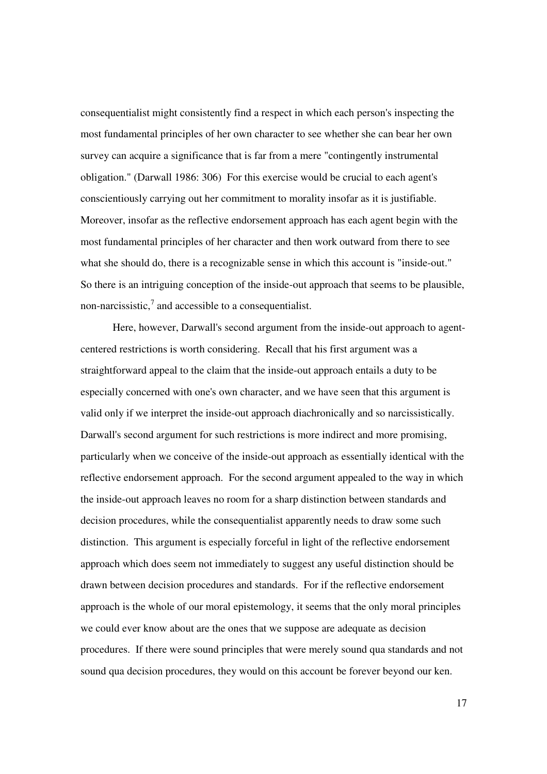consequentialist might consistently find a respect in which each person's inspecting the most fundamental principles of her own character to see whether she can bear her own survey can acquire a significance that is far from a mere "contingently instrumental obligation." (Darwall 1986: 306) For this exercise would be crucial to each agent's conscientiously carrying out her commitment to morality insofar as it is justifiable. Moreover, insofar as the reflective endorsement approach has each agent begin with the most fundamental principles of her character and then work outward from there to see what she should do, there is a recognizable sense in which this account is "inside-out." So there is an intriguing conception of the inside-out approach that seems to be plausible, non-narcissistic, $\alpha$  and accessible to a consequentialist.

Here, however, Darwall's second argument from the inside-out approach to agentcentered restrictions is worth considering. Recall that his first argument was a straightforward appeal to the claim that the inside-out approach entails a duty to be especially concerned with one's own character, and we have seen that this argument is valid only if we interpret the inside-out approach diachronically and so narcissistically. Darwall's second argument for such restrictions is more indirect and more promising, particularly when we conceive of the inside-out approach as essentially identical with the reflective endorsement approach. For the second argument appealed to the way in which the inside-out approach leaves no room for a sharp distinction between standards and decision procedures, while the consequentialist apparently needs to draw some such distinction. This argument is especially forceful in light of the reflective endorsement approach which does seem not immediately to suggest any useful distinction should be drawn between decision procedures and standards. For if the reflective endorsement approach is the whole of our moral epistemology, it seems that the only moral principles we could ever know about are the ones that we suppose are adequate as decision procedures. If there were sound principles that were merely sound qua standards and not sound qua decision procedures, they would on this account be forever beyond our ken.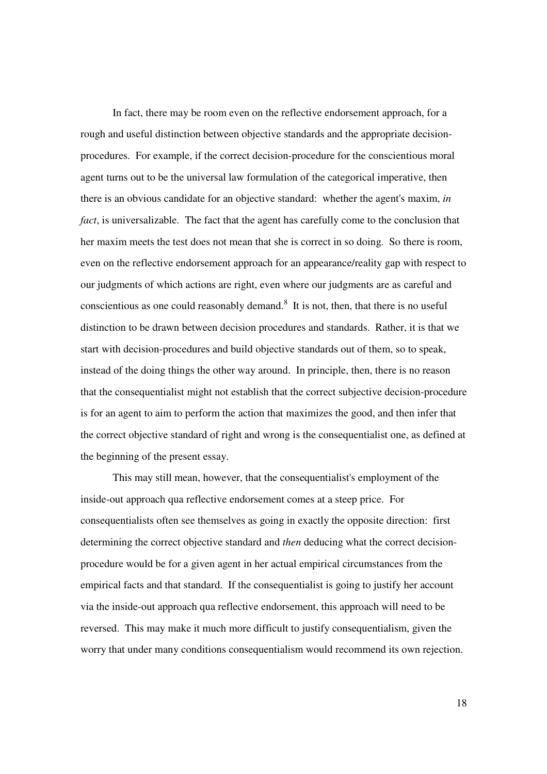In fact, there may be room even on the reflective endorsement approach, for a rough and useful distinction between objective standards and the appropriate decisionprocedures. For example, if the correct decision-procedure for the conscientious moral agent turns out to be the universal law formulation of the categorical imperative, then there is an obvious candidate for an objective standard: whether the agent's maxim, *in fact*, is universalizable. The fact that the agent has carefully come to the conclusion that her maxim meets the test does not mean that she is correct in so doing. So there is room, even on the reflective endorsement approach for an appearance/reality gap with respect to our judgments of which actions are right, even where our judgments are as careful and conscientious as one could reasonably demand.<sup>8</sup> It is not, then, that there is no useful distinction to be drawn between decision procedures and standards. Rather, it is that we start with decision-procedures and build objective standards out of them, so to speak, instead of the doing things the other way around. In principle, then, there is no reason that the consequentialist might not establish that the correct subjective decision-procedure is for an agent to aim to perform the action that maximizes the good, and then infer that the correct objective standard of right and wrong is the consequentialist one, as defined at the beginning of the present essay.

This may still mean, however, that the consequentialist's employment of the inside-out approach qua reflective endorsement comes at a steep price. For consequentialists often see themselves as going in exactly the opposite direction: first determining the correct objective standard and *then* deducing what the correct decisionprocedure would be for a given agent in her actual empirical circumstances from the empirical facts and that standard. If the consequentialist is going to justify her account via the inside-out approach qua reflective endorsement, this approach will need to be reversed. This may make it much more difficult to justify consequentialism, given the worry that under many conditions consequentialism would recommend its own rejection.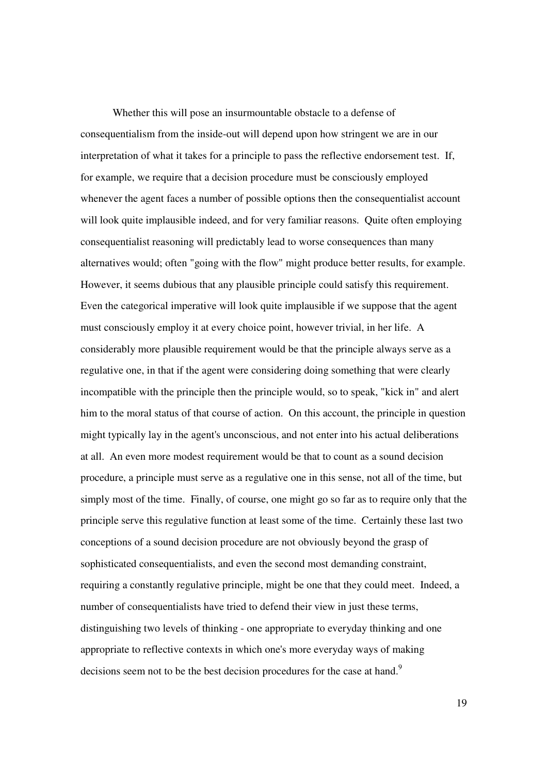Whether this will pose an insurmountable obstacle to a defense of consequentialism from the inside-out will depend upon how stringent we are in our interpretation of what it takes for a principle to pass the reflective endorsement test. If, for example, we require that a decision procedure must be consciously employed whenever the agent faces a number of possible options then the consequentialist account will look quite implausible indeed, and for very familiar reasons. Quite often employing consequentialist reasoning will predictably lead to worse consequences than many alternatives would; often "going with the flow" might produce better results, for example. However, it seems dubious that any plausible principle could satisfy this requirement. Even the categorical imperative will look quite implausible if we suppose that the agent must consciously employ it at every choice point, however trivial, in her life. A considerably more plausible requirement would be that the principle always serve as a regulative one, in that if the agent were considering doing something that were clearly incompatible with the principle then the principle would, so to speak, "kick in" and alert him to the moral status of that course of action. On this account, the principle in question might typically lay in the agent's unconscious, and not enter into his actual deliberations at all. An even more modest requirement would be that to count as a sound decision procedure, a principle must serve as a regulative one in this sense, not all of the time, but simply most of the time. Finally, of course, one might go so far as to require only that the principle serve this regulative function at least some of the time. Certainly these last two conceptions of a sound decision procedure are not obviously beyond the grasp of sophisticated consequentialists, and even the second most demanding constraint, requiring a constantly regulative principle, might be one that they could meet. Indeed, a number of consequentialists have tried to defend their view in just these terms, distinguishing two levels of thinking - one appropriate to everyday thinking and one appropriate to reflective contexts in which one's more everyday ways of making decisions seem not to be the best decision procedures for the case at hand.<sup>9</sup>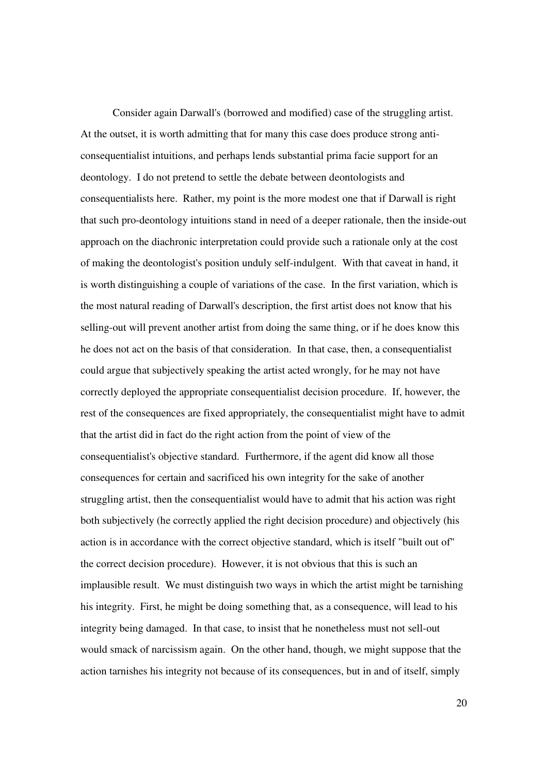Consider again Darwall's (borrowed and modified) case of the struggling artist. At the outset, it is worth admitting that for many this case does produce strong anticonsequentialist intuitions, and perhaps lends substantial prima facie support for an deontology. I do not pretend to settle the debate between deontologists and consequentialists here. Rather, my point is the more modest one that if Darwall is right that such pro-deontology intuitions stand in need of a deeper rationale, then the inside-out approach on the diachronic interpretation could provide such a rationale only at the cost of making the deontologist's position unduly self-indulgent. With that caveat in hand, it is worth distinguishing a couple of variations of the case. In the first variation, which is the most natural reading of Darwall's description, the first artist does not know that his selling-out will prevent another artist from doing the same thing, or if he does know this he does not act on the basis of that consideration. In that case, then, a consequentialist could argue that subjectively speaking the artist acted wrongly, for he may not have correctly deployed the appropriate consequentialist decision procedure. If, however, the rest of the consequences are fixed appropriately, the consequentialist might have to admit that the artist did in fact do the right action from the point of view of the consequentialist's objective standard. Furthermore, if the agent did know all those consequences for certain and sacrificed his own integrity for the sake of another struggling artist, then the consequentialist would have to admit that his action was right both subjectively (he correctly applied the right decision procedure) and objectively (his action is in accordance with the correct objective standard, which is itself "built out of" the correct decision procedure). However, it is not obvious that this is such an implausible result. We must distinguish two ways in which the artist might be tarnishing his integrity. First, he might be doing something that, as a consequence, will lead to his integrity being damaged. In that case, to insist that he nonetheless must not sell-out would smack of narcissism again. On the other hand, though, we might suppose that the action tarnishes his integrity not because of its consequences, but in and of itself, simply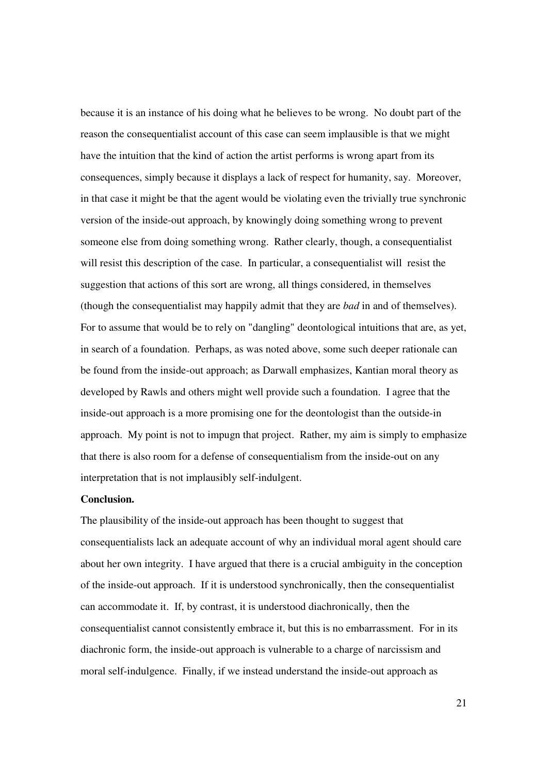because it is an instance of his doing what he believes to be wrong. No doubt part of the reason the consequentialist account of this case can seem implausible is that we might have the intuition that the kind of action the artist performs is wrong apart from its consequences, simply because it displays a lack of respect for humanity, say. Moreover, in that case it might be that the agent would be violating even the trivially true synchronic version of the inside-out approach, by knowingly doing something wrong to prevent someone else from doing something wrong. Rather clearly, though, a consequentialist will resist this description of the case. In particular, a consequentialist will resist the suggestion that actions of this sort are wrong, all things considered, in themselves (though the consequentialist may happily admit that they are *bad* in and of themselves). For to assume that would be to rely on "dangling" deontological intuitions that are, as yet, in search of a foundation. Perhaps, as was noted above, some such deeper rationale can be found from the inside-out approach; as Darwall emphasizes, Kantian moral theory as developed by Rawls and others might well provide such a foundation. I agree that the inside-out approach is a more promising one for the deontologist than the outside-in approach. My point is not to impugn that project. Rather, my aim is simply to emphasize that there is also room for a defense of consequentialism from the inside-out on any interpretation that is not implausibly self-indulgent.

#### **Conclusion.**

The plausibility of the inside-out approach has been thought to suggest that consequentialists lack an adequate account of why an individual moral agent should care about her own integrity. I have argued that there is a crucial ambiguity in the conception of the inside-out approach. If it is understood synchronically, then the consequentialist can accommodate it. If, by contrast, it is understood diachronically, then the consequentialist cannot consistently embrace it, but this is no embarrassment. For in its diachronic form, the inside-out approach is vulnerable to a charge of narcissism and moral self-indulgence. Finally, if we instead understand the inside-out approach as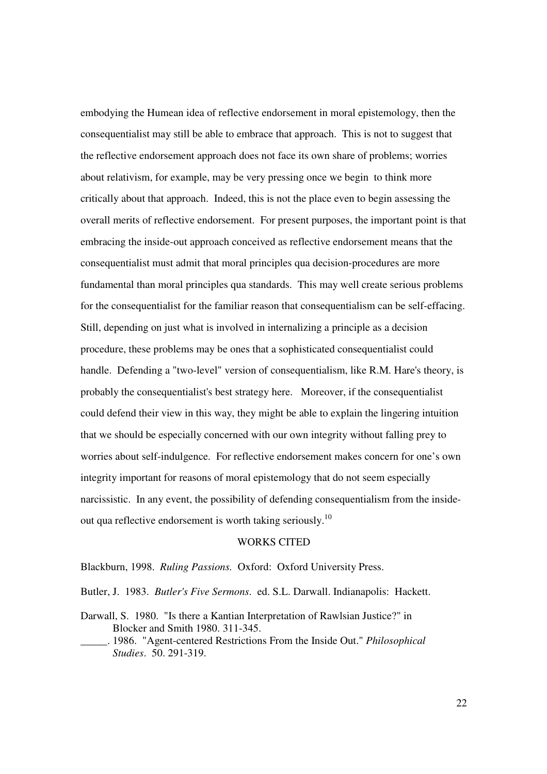embodying the Humean idea of reflective endorsement in moral epistemology, then the consequentialist may still be able to embrace that approach. This is not to suggest that the reflective endorsement approach does not face its own share of problems; worries about relativism, for example, may be very pressing once we begin to think more critically about that approach. Indeed, this is not the place even to begin assessing the overall merits of reflective endorsement. For present purposes, the important point is that embracing the inside-out approach conceived as reflective endorsement means that the consequentialist must admit that moral principles qua decision-procedures are more fundamental than moral principles qua standards. This may well create serious problems for the consequentialist for the familiar reason that consequentialism can be self-effacing. Still, depending on just what is involved in internalizing a principle as a decision procedure, these problems may be ones that a sophisticated consequentialist could handle. Defending a "two-level" version of consequentialism, like R.M. Hare's theory, is probably the consequentialist's best strategy here. Moreover, if the consequentialist could defend their view in this way, they might be able to explain the lingering intuition that we should be especially concerned with our own integrity without falling prey to worries about self-indulgence. For reflective endorsement makes concern for one's own integrity important for reasons of moral epistemology that do not seem especially narcissistic. In any event, the possibility of defending consequentialism from the insideout qua reflective endorsement is worth taking seriously.<sup>10</sup>

## WORKS CITED

Blackburn, 1998. *Ruling Passions.* Oxford: Oxford University Press.

Butler, J. 1983. *Butler's Five Sermons*. ed. S.L. Darwall. Indianapolis: Hackett.

Darwall, S. 1980. "Is there a Kantian Interpretation of Rawlsian Justice?" in Blocker and Smith 1980. 311-345. \_\_\_\_\_. 1986. "Agent-centered Restrictions From the Inside Out." *Philosophical Studies*. 50. 291-319.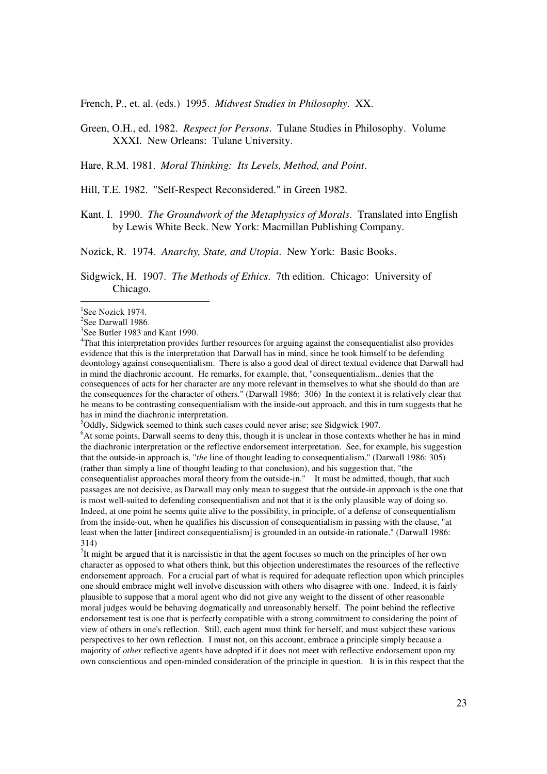French, P., et. al. (eds.) 1995. *Midwest Studies in Philosophy*. XX.

Green, O.H., ed. 1982. *Respect for Persons*. Tulane Studies in Philosophy. Volume XXXI. New Orleans: Tulane University.

Hare, R.M. 1981. *Moral Thinking: Its Levels, Method, and Point*.

Hill, T.E. 1982. "Self-Respect Reconsidered." in Green 1982.

Kant, I. 1990. *The Groundwork of the Metaphysics of Morals*. Translated into English by Lewis White Beck. New York: Macmillan Publishing Company.

Nozick, R. 1974. *Anarchy, State, and Utopia*. New York: Basic Books.

Sidgwick, H. 1907. *The Methods of Ethics*. 7th edition. Chicago: University of Chicago.

<sup>5</sup>Oddly, Sidgwick seemed to think such cases could never arise; see Sidgwick 1907.

<sup>6</sup>At some points, Darwall seems to deny this, though it is unclear in those contexts whether he has in mind the diachronic interpretation or the reflective endorsement interpretation. See, for example, his suggestion that the outside-in approach is, "*the* line of thought leading to consequentialism," (Darwall 1986: 305) (rather than simply a line of thought leading to that conclusion), and his suggestion that, "the consequentialist approaches moral theory from the outside-in." It must be admitted, though, that such passages are not decisive, as Darwall may only mean to suggest that the outside-in approach is the one that is most well-suited to defending consequentialism and not that it is the only plausible way of doing so. Indeed, at one point he seems quite alive to the possibility, in principle, of a defense of consequentialism from the inside-out, when he qualifies his discussion of consequentialism in passing with the clause, "at least when the latter [indirect consequentialism] is grounded in an outside-in rationale." (Darwall 1986: 314)

 $7$ It might be argued that it is narcissistic in that the agent focuses so much on the principles of her own character as opposed to what others think, but this objection underestimates the resources of the reflective endorsement approach. For a crucial part of what is required for adequate reflection upon which principles one should embrace might well involve discussion with others who disagree with one. Indeed, it is fairly plausible to suppose that a moral agent who did not give any weight to the dissent of other reasonable moral judges would be behaving dogmatically and unreasonably herself. The point behind the reflective endorsement test is one that is perfectly compatible with a strong commitment to considering the point of view of others in one's reflection. Still, each agent must think for herself, and must subject these various perspectives to her own reflection. I must not, on this account, embrace a principle simply because a majority of *other* reflective agents have adopted if it does not meet with reflective endorsement upon my own conscientious and open-minded consideration of the principle in question. It is in this respect that the

<sup>&</sup>lt;sup>1</sup>See Nozick 1974.

<sup>&</sup>lt;sup>2</sup>See Darwall 1986.

<sup>&</sup>lt;sup>3</sup>See Butler 1983 and Kant 1990.

<sup>4</sup>That this interpretation provides further resources for arguing against the consequentialist also provides evidence that this is the interpretation that Darwall has in mind, since he took himself to be defending deontology against consequentialism. There is also a good deal of direct textual evidence that Darwall had in mind the diachronic account. He remarks, for example, that, "consequentialism...denies that the consequences of acts for her character are any more relevant in themselves to what she should do than are the consequences for the character of others." (Darwall 1986: 306) In the context it is relatively clear that he means to be contrasting consequentialism with the inside-out approach, and this in turn suggests that he has in mind the diachronic interpretation.